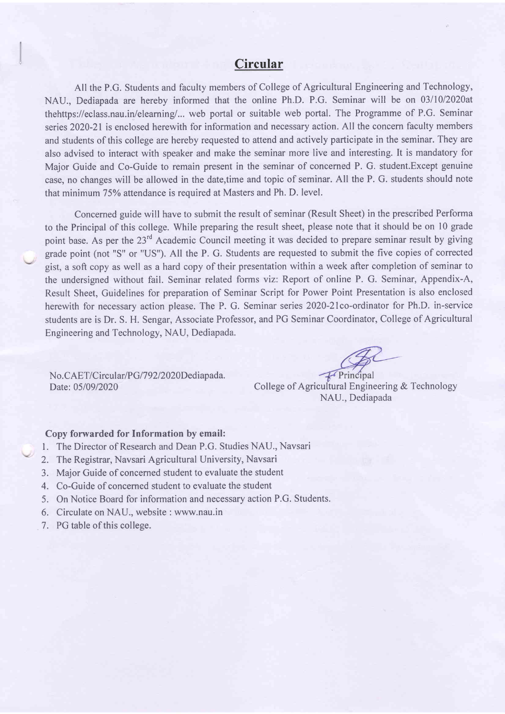### Circular

All the P.G. Students and faculty members of College of Agricultural Engineering and Technology, NAU., Dediapada are hereby informed that the online Ph.D. P.G. Seminar will be on 03/10/2020at thehttps://eclass.nau.in/eleaming/... web portal or suitable web portal. The Programme of P.G. Seminar series 2020-21 is enclosed herewith for information and necessary action. All the concern faculty members and students of this college are hereby requested to attend and actively participate in the seminar. They are also advised to interact with speaker and make the seminar more live and interesting. It is mandatory for Major Guide and Co-Guide to remain present in the seminar of concemed P. G. student.Except genuine case, no changes will be allowed in the date,time and topic of seminar. All the P. G. students should note that minimum 75% attendance is required at Masters and Ph. D. level.

Concerned guide will have to submit the result of seminar (Result Sheet) in the prescribed Performa to the Principal of this college. While preparing the result sheet, please note that it should be on l0 grade point base. As per the 23<sup>rd</sup> Academic Council meeting it was decided to prepare seminar result by giving grade point (not "S" or "US"). All the P. G. Students are requested to submit the five copies of corrected gist, a soft copy as well as a hard copy of their presentation within a week after completion of seminar to the undersigned without fail. Seminar related forms viz: Report of online P. G. Seminar, Appendix-A, Result Sheet, Guidelines for preparation of Seminar Script for Power Point Presentation is also enclosed herewith for necessary action please. The P. G. Seminar series 2020-21co-ordinator for Ph.D. in-service students are is Dr. S. H. Sengar, Associate Professor, and PG Seminar Coordinator, College of Agricultural Engineering and Technology, NAU, Dediapada.

No. CAET/Circular/PG/792/2020Dediapada.

 $\sqrt{\frac{1}{2}}$ Principal

Date: 05/09/2020 College of Agricultural Engineering & Technology NAU., Dediapada

#### Copy forwarded for Information by email:

- l. The Director of Research and Dean P.G. Studies NAU., Navsari
- 2. The Registrar, Navsari Agricultural University, Navsari
- 3. Major Guide of concerned student to evaluate the student
- 4. Co-Guide of concerned student to evaluate the student
- 5. On Notice Board for information and necessary action P.G. Students.
- 6. Circulate on NAU., website : www.nau.in
- 7. PG table of this college.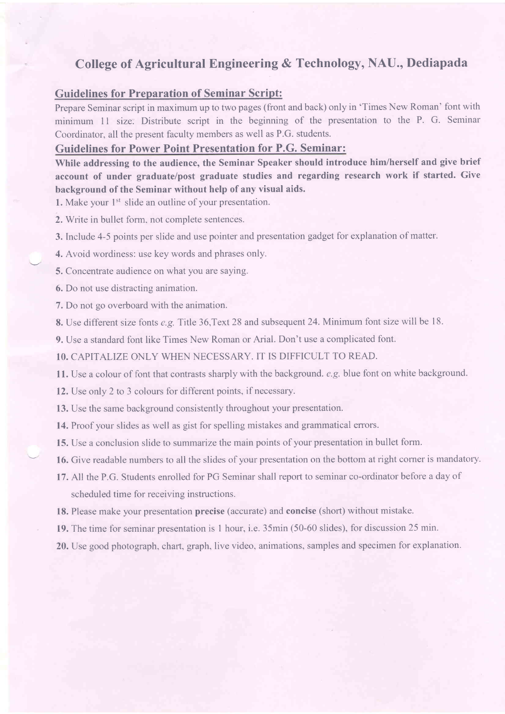# College of Agricultural Engineering & Technology, NAU., Dediapada

#### Guidelines for Preparation of Seminar Script:

Prepare Seminar script in maximum up to two pages (front and back) only in 'Times New Roman' font with minimum 11 size. Distribute script in the beginning of the presentation to the P. G. Seminar Coordinator, all the present faculty mernbers as well as P.G. students.

### Guidelines for Power Point Presentation for P.G. Seminar:

While addressing to the audience, the Seminar Speaker should introduce him/herself and give brief account of under graduate/post graduate studies and regarding research work if started. Give background of the Seminar without help of any visual aids.

1. Make your  $1<sup>st</sup>$  slide an outline of your presentation.

2, Write in bullet form. not complete sentences.

- 3. Include 4-5 points per slide and use pointer and presentation gadget for explanation of matter.
- 4. Avoid wordiness: use key words and phrases only.
- 5. Concentrate audience on what you are saying.
- 6. Do not use distracting animation.
- 7, Do not go overboard with the animation.
- 8. Use different size fonts e.g. Title 36, Text 28 and subsequent 24. Minimum font size will be 18.
- 9. Use a standard font like Times New Roman or Arial. Don't use a complicated font.

10. CAPITALIZE ONLY WHEN NECESSARY. IT IS DIFFICULT TO READ.

11. Use a colour of font that contrasts sharply with the background. e.g. blue font on white background.

12. Use only 2 to 3 colours for different points, if necessary.

13. Use the same background consistently throughout your presentation.

- 14. Proof your slides as well as gist for spelling mistakes and grammatical errors.
- 15. Use a conclusion slide to summarize the main points of your presentation in bullet form.
- 16. Give readable numbers to all the slides of your presentation on the bottom at right corner is mandatory.
- 17. All the P.G. Students enrolled for PG Seminar shall report to seminar co-ordinator before a day of scheduled time for receiving instructions.
- 18. Please make your presentation precise (accurate) and concise (short) without mistake.
- 19. The time for seminar presentation is I hour, i.e. 35min (50-60 slides), for discussion 25 min.
- 20. Use good photograph, chart. graph, live video, animations, samples and specimen for explanation.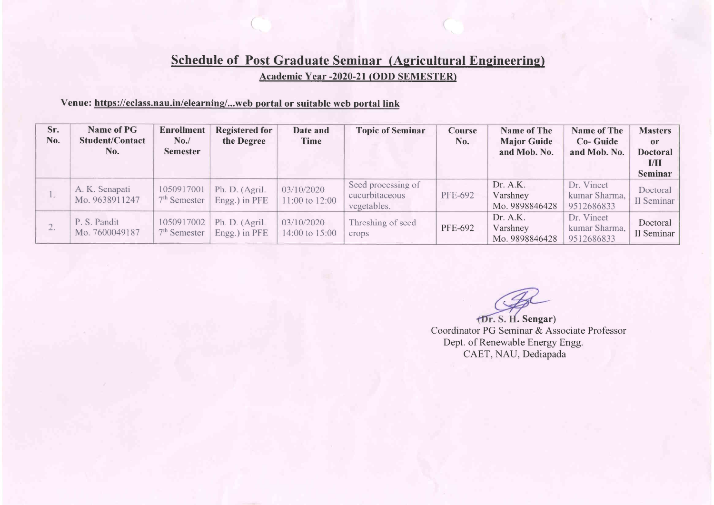# **Schedule of Post Graduate Seminar (Agricultural Engineering)** Academic Year -2020-21 (ODD SEMESTER)

### Venue: https://eclass.nau.in/elearning/...web portal or suitable web portal link

| Sr.<br>No. | <b>Name of PG</b><br><b>Student/Contact</b><br>No. | <b>Enrollment</b><br>No.<br><b>Semester</b> | <b>Registered for</b><br>the Degree | Date and<br>Time             | <b>Topic of Seminar</b>                             | Course<br>No.  | <b>Name of The</b><br><b>Major Guide</b><br>and Mob. No. | <b>Name of The</b><br><b>Co-Guide</b><br>and Mob. No. | <b>Masters</b><br>or<br><b>Doctoral</b><br>L/II<br>Seminar |
|------------|----------------------------------------------------|---------------------------------------------|-------------------------------------|------------------------------|-----------------------------------------------------|----------------|----------------------------------------------------------|-------------------------------------------------------|------------------------------------------------------------|
| Lui.       | A. K. Senapati<br>Mo. 9638911247                   | 1050917001<br>$7th$ Semester                | Ph. D. (Agril.<br>Engg.) in PFE     | 03/10/2020<br>11:00 to 12:00 | Seed processing of<br>cucurbitaceous<br>vegetables. | <b>PFE-692</b> | Dr. A.K.<br>Varshney<br>Mo. 9898846428                   | Dr. Vineet<br>kumar Sharma,<br>9512686833             | Doctoral<br>II Seminar                                     |
| $\angle$ . | P. S. Pandit<br>Mo. 7600049187                     | 1050917002<br>$7th$ Semester                | Ph. D. (Agril.<br>Engg.) in PFE     | 03/10/2020<br>14:00 to 15:00 | Threshing of seed<br>crops                          | PFE-692        | Dr. A.K.<br>Varshney<br>Mo. 9898846428                   | Dr. Vineet<br>kumar Sharma,<br>9512686833             | Doctoral<br>II Seminar                                     |

(Dr. S. H. Sengar) Coordinator PG Seminar & Associate Professor Dept. of Renewable Energy Engg. CAET, NAU, Dediapada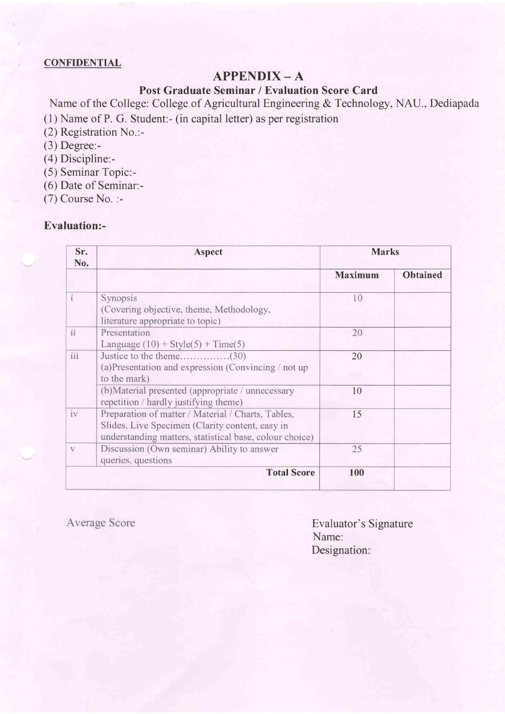#### **CONFIDENTIAL**

### APPENDIX-A

Post Graduate Seminar / Evaluation Score Card

Name of the College: College of Agricultural Engineering & Technology, NAU., Dediapada (1) Name of P. G. Student:- (in capital letter) as per registration

- (2) Registration No.:-
- (3) Degree:-
- (4) Discipline:-
- (5) Seminar Topic:-
- (6) Date of Seminar:-
- (7) Course No. :-

### Evaluation:-

| Sr.<br>No. | <b>Aspect</b>                                                                                                                                                    | <b>Marks</b>   |                 |  |
|------------|------------------------------------------------------------------------------------------------------------------------------------------------------------------|----------------|-----------------|--|
|            |                                                                                                                                                                  | <b>Maximum</b> | <b>Obtained</b> |  |
| $\dot{I}$  | Synopsis<br>(Covering objective, theme, Methodology,<br>literature appropriate to topic)                                                                         | 10             |                 |  |
| ii         | Presentation<br>Language $(10)$ + Style(5) + Time(5)                                                                                                             | 20             |                 |  |
| iii        | (a) Presentation and expression (Convincing / not up)<br>to the mark)                                                                                            | 20             |                 |  |
|            | (b) Material presented (appropriate / unnecessary<br>repetition / hardly justifying theme)                                                                       | 10             |                 |  |
| iv         | Preparation of matter / Material / Charts, Tables,<br>Slides, Live Specimen (Clarity content, easy in<br>understanding matters, statistical base, colour choice) | 15             |                 |  |
| V          | Discussion (Own seminar) Ability to answer<br>queries, questions                                                                                                 | 25             |                 |  |
|            | <b>Total Score</b>                                                                                                                                               | 100            |                 |  |

Average Score **Evaluator's Signature** Name: Designation: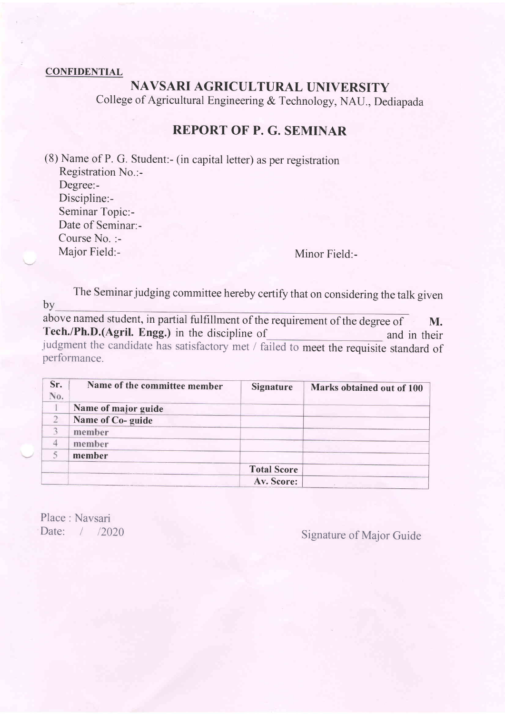#### **CONFIDENTIAL**

# NAVSARI AGRICULTURAL UNIVERSITY

College of Agricultural Engineering & Technology, NAU., Dediapada

### REPORT OF P. G. SEMINAR

(8) Name of P. G. Student:- (in capital letter) as per registration Registration No.:- Degree:- Discipline:- Seminar Topic:- Date of Seminar:- Course No. :- Major Field:- Minor Field:-

The Seminar judging committee hereby certify that on considering the talk given by

above named student, in partial fulfillment of the requirement of the degree of M. Tech./Ph.D.(Agril. Engg.) in the discipline of and in their judgment the candidate has satisfactory met / failed to meet the requisite standard of performance.

| Sr.<br>No. | Name of the committee member | <b>Signature</b>   | Marks obtained out of 100 |
|------------|------------------------------|--------------------|---------------------------|
|            | Name of major guide          |                    |                           |
|            | Name of Co-guide             |                    |                           |
|            | member                       |                    |                           |
|            | member                       |                    |                           |
|            | member                       |                    |                           |
|            |                              | <b>Total Score</b> |                           |
|            |                              | Av. Score:         |                           |

Place : Navsari

Date: 1 12020 Signature of Major Guide